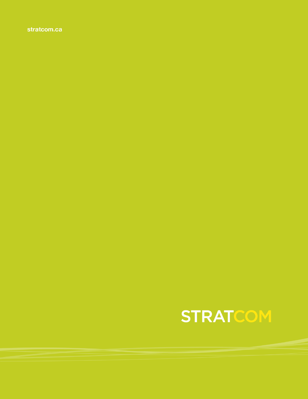stratcom.ca

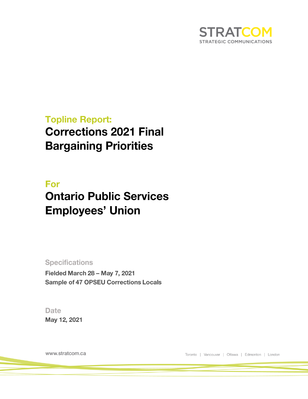

## **Topline Report: Corrections 2021 Final Bargaining Priorities**

## For **Ontario Public Services Employees' Union**

**Specifications** Fielded March 28 - May 7, 2021 **Sample of 47 OPSEU Corrections Locals** 

**Date** May 12, 2021

www.stratcom.ca

Toronto | Vancouver | Ottawa | Edmonton | London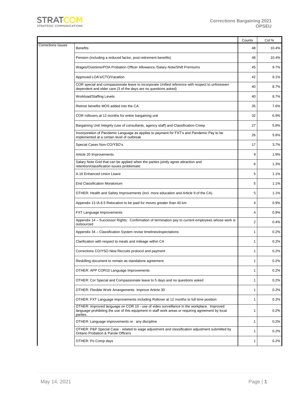

|                           |                                                                                                                                                                                                             | Counts         | Col % |
|---------------------------|-------------------------------------------------------------------------------------------------------------------------------------------------------------------------------------------------------------|----------------|-------|
| <b>Corrections issues</b> | <b>Benefits</b>                                                                                                                                                                                             | 48             | 10.4% |
|                           | Pension (including a reduced factor, post-retirement benefits)                                                                                                                                              | 48             | 10.4% |
|                           | Wages/Overtime/POA Probation Officer Allowance /Salary Note/Shift Premiums                                                                                                                                  | 45             | 9.7%  |
|                           | Approved LOA's/CTO/Vacation                                                                                                                                                                                 | 42             | 9.1%  |
|                           | COR special and compassionate leave to incorporate Unified reference with respect to unforeseen<br>dependent and elder care (3 of the days are no questions asked)                                          | 40             | 8.7%  |
|                           | Workload/Staffing Levels                                                                                                                                                                                    | 40             | 8.7%  |
|                           | Retiree benefits MOS added into the CA                                                                                                                                                                      | 35             | 7.6%  |
|                           | COR rollovers at 12 months for entire bargaining unit                                                                                                                                                       | 32             | 6.9%  |
|                           | Bargaining Unit Integrity (use of consultants, agency staff) and Classification Creep                                                                                                                       | 27             | 5.8%  |
|                           | Incorporation of Pandemic Language as applies to payment for FXT's and Pandemic Pay to be<br>implemented at a certain level of outbreak                                                                     | 26             | 5.6%  |
|                           | Special Cases Non-CO/YSO's                                                                                                                                                                                  | 17             | 3.7%  |
|                           | Article 20 Improvements                                                                                                                                                                                     | 9              | 1.9%  |
|                           | Salary Note Grid that can be applied when the parties jointly agree attraction and<br>retention/classification issues problematic                                                                           | 6              | 1.3%  |
|                           | A.16 Enhanced Union Leave                                                                                                                                                                                   | 5              | 1.1%  |
|                           | <b>End Classification Moratorium</b>                                                                                                                                                                        | 5              | 1.1%  |
|                           | OTHER: Health and Safety Improvements (incl. more education and Article 9 of the CA)                                                                                                                        | 5              | 1.1%  |
|                           | Appendix 13 /A.6.5 Relocation to be paid for moves greater than 40 km                                                                                                                                       | $\overline{4}$ | 0.9%  |
|                           | FXT Language Improvements                                                                                                                                                                                   | $\overline{4}$ | 0.9%  |
|                           | Appendix 14 - Successor Rights: Confirmation of termination pay to current employees whose work is<br>outsourced                                                                                            | $\overline{2}$ | 0.4%  |
|                           | Appendix 34 - Classification System revise timelines/expectations                                                                                                                                           | $\mathbf{1}$   | 0.2%  |
|                           | Clarification with respect to meals and mileage within CA                                                                                                                                                   | $\mathbf{1}$   | 0.2%  |
|                           | Corrections CO/YSO New Recruits protocol and payment                                                                                                                                                        | 1              | 0.2%  |
|                           | Reskilling document to remain as standalone agreement                                                                                                                                                       | 1              | 0.2%  |
|                           | OTHER: APP COR10 Language Improvements                                                                                                                                                                      | 1              | 0.2%  |
|                           | OTHER: Cor Special and Compassionate leave to 5 days and no questions asked                                                                                                                                 | 1              | 0.2%  |
|                           | OTHER: Flexible Work Arrangements Improve Article 30                                                                                                                                                        | $\mathbf{1}$   | 0.2%  |
|                           | OTHER: FXT Language improvements including Rollover at 12 months to full time position                                                                                                                      | 1              | 0.2%  |
|                           | OTHER: Improved language on COR 10 - use of video surveillance in the workplace. Improved<br>language prohibiting the use of this equipment in staff work areas or requiring agreement by local<br>parties. | $\mathbf{1}$   | 0.2%  |
|                           | OTHER: Language improvements re : any discipline                                                                                                                                                            | 1              | 0.2%  |
|                           | OTHER: P&P Special Case - related to wage adjustment and classification adjustment submitted by<br><b>Ontario Probation &amp; Parole Officers</b>                                                           | 1              | 0.2%  |
|                           | OTHER: Po Comp days                                                                                                                                                                                         | 1              | 0.2%  |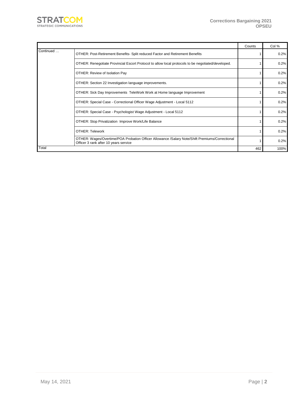

|           |                                                                                                                                         | Counts | Col % |
|-----------|-----------------------------------------------------------------------------------------------------------------------------------------|--------|-------|
| Continued | OTHER: Post-Retirement Benefits- Split reduced Factor and Retirement Benefits                                                           |        | 0.2%  |
|           | OTHER: Renegotiate Provincial Escort Protocol to allow local protocols to be negotiated/developed.                                      |        | 0.2%  |
|           | OTHER: Review of Isolation Pay                                                                                                          |        | 0.2%  |
|           | OTHER: Section 22 Investigation language improvements.                                                                                  |        | 0.2%  |
|           | OTHER: Sick Day Improvements TeleWork Work at Home language Improvement                                                                 |        | 0.2%  |
|           | OTHER: Special Case - Correctional Officer Wage Adjustment - Local 5112                                                                 |        | 0.2%  |
|           | OTHER: Special Case - Psychologist Wage Adjustment - Local 5112                                                                         |        | 0.2%  |
|           | OTHER: Stop Privatization Improve Work/Life Balance                                                                                     |        | 0.2%  |
|           | <b>OTHER: Telework</b>                                                                                                                  |        | 0.2%  |
|           | OTHER: Wages/Overtime/POA Probation Officer Allowance /Salary Note/Shift Premiums/Correctional<br>Officer 3 rank after 10 years service |        | 0.2%  |
| Total     |                                                                                                                                         | 462    | 100%  |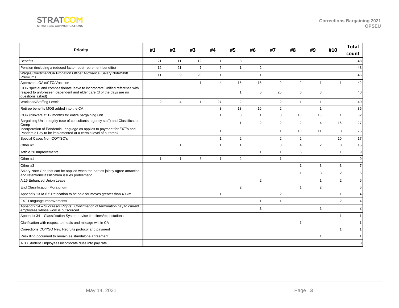

| <b>Priority</b>                                                                                                                                                       |                | #2             | #3             | #4       | #5             | #6             | #7             | #8             | #9             | #10            | <b>Total</b><br>count |
|-----------------------------------------------------------------------------------------------------------------------------------------------------------------------|----------------|----------------|----------------|----------|----------------|----------------|----------------|----------------|----------------|----------------|-----------------------|
| <b>Benefits</b>                                                                                                                                                       | 21             | 11             | 12             |          | 3              |                |                |                |                |                | 48                    |
| Pension (including a reduced factor, post-retirement benefits)                                                                                                        | 12             | 21             | $\overline{7}$ | 5        | $\overline{1}$ | 2              |                |                |                |                | 48                    |
| Wages/Overtime/POA Probation Officer Allowance /Salary Note/Shift<br>Premiums                                                                                         | 11             | 9              | 23             |          |                | $\overline{1}$ |                |                |                |                | 45                    |
| Approved LOA's/CTO/Vacation                                                                                                                                           |                |                | $\mathbf{1}$   | $\Delta$ | 16             | 15             | $\overline{2}$ | $\overline{2}$ | $\mathbf{1}$   | 1              | 42                    |
| COR special and compassionate leave to incorporate Unified reference with<br>respect to unforeseen dependent and elder care (3 of the days are no<br>questions asked) |                |                |                |          | $\mathbf{1}$   | 5              | 25             | 6              | 3              |                | 40                    |
| Workload/Staffing Levels                                                                                                                                              | $\overline{2}$ | $\overline{4}$ | 1              | 27       | $\overline{2}$ |                | $\overline{2}$ | $\overline{1}$ | $\mathbf{1}$   |                | 40                    |
| Retiree benefits MOS added into the CA                                                                                                                                |                |                |                | 3        | 13             | 16             | $\overline{2}$ |                | $\mathbf{1}$   |                | 35                    |
| COR rollovers at 12 months for entire bargaining unit                                                                                                                 |                |                |                |          | 3              | $\overline{1}$ | 3              | 10             | 13             | $\overline{1}$ | 32                    |
| Bargaining Unit Integrity (use of consultants, agency staff) and Classification<br>Creep                                                                              |                |                |                |          | $\overline{1}$ | 2              | 2              | $\overline{2}$ | $\overline{4}$ | 16             | 27                    |
| Incorporation of Pandemic Language as applies to payment for FXT's and<br>Pandemic Pay to be implemented at a certain level of outbreak                               |                |                |                |          |                |                | 1              | 10             | 11             | 3              | 26                    |
| Special Cases Non-CO/YSO's                                                                                                                                            |                |                |                | 1        | $\overline{2}$ |                | 2              | $\overline{2}$ |                | 10             | 17                    |
| Other #2                                                                                                                                                              |                | $\overline{1}$ |                |          | $\mathbf{1}$   |                | 3              | $\overline{4}$ | 2              | 3              | 15                    |
| Article 20 Improvements                                                                                                                                               |                |                |                |          |                | $\overline{1}$ | -1             | 6              |                | -1             | 9                     |
| Other #1                                                                                                                                                              |                | $\mathbf{1}$   | 3              |          | $\overline{2}$ |                |                |                |                |                | 9                     |
| Other #3                                                                                                                                                              |                |                |                |          |                |                |                | $\overline{1}$ | 3              | 3              | $\overline{7}$        |
| Salary Note Grid that can be applied when the parties jointly agree attraction<br>and retention/classification issues problematic                                     |                |                |                |          |                |                |                |                | 3              | $\overline{2}$ | 6                     |
| A.16 Enhanced Union Leave                                                                                                                                             |                |                |                |          |                | $\overline{2}$ |                |                | $\overline{1}$ | $\overline{2}$ | 5                     |
| <b>End Classification Moratorium</b>                                                                                                                                  |                |                |                |          | $\overline{2}$ |                |                | $\overline{1}$ | 2              |                | 5                     |
| Appendix 13 /A.6.5 Relocation to be paid for moves greater than 40 km                                                                                                 |                |                |                |          |                |                | $\overline{2}$ |                |                | -1             |                       |
| FXT Language Improvements                                                                                                                                             |                |                |                |          |                | $\mathbf{1}$   | -1             |                |                | $\overline{2}$ |                       |
| Appendix 14 - Successor Rights: Confirmation of termination pay to current<br>employees whose work is outsourced                                                      |                |                |                |          |                | $\mathbf{1}$   |                |                | -1             |                |                       |
| Appendix 34 - Classification System revise timelines/expectations                                                                                                     |                |                |                |          |                |                |                |                |                | 1              |                       |
| Clarification with respect to meals and mileage within CA                                                                                                             |                |                |                |          |                |                |                | $\mathbf{1}$   |                |                |                       |
| Corrections CO/YSO New Recruits protocol and payment                                                                                                                  |                |                |                |          |                |                |                |                |                |                |                       |
| Reskilling document to remain as standalone agreement                                                                                                                 |                |                |                |          |                |                |                |                | $\mathbf{1}$   |                |                       |
| A.33 Student Employees incorporate dues into pay rate                                                                                                                 |                |                |                |          |                |                |                |                |                |                | 0                     |